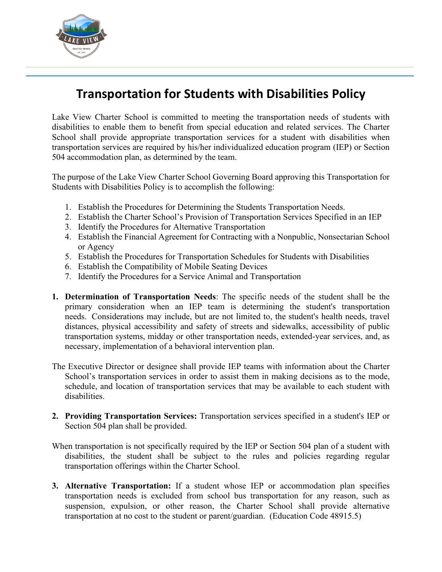

## **Transportation for Students with Disabilities Policy**

Lake View Charter School is committed to meeting the transportation needs of students with disabilities to enable them to benefit from special education and related services. The Charter School shall provide appropriate transportation services for a student with disabilities when transportation services are required by his/her individualized education program (IEP) or Section 504 accommodation plan, as determined by the team.

The purpose of the Lake View Charter School Governing Board approving this Transportation for Students with Disabilities Policy is to accomplish the following:

- 1. Establish the Procedures for Determining the Students Transportation Needs.
- 2. Establish the Charter School's Provision of Transportation Services Specified in an IEP
- 3. Identify the Procedures for Alternative Transportation
- 4. Establish the Financial Agreement for Contracting with a Nonpublic, Nonsectarian School or Agency
- 5. Establish the Procedures for Transportation Schedules for Students with Disabilities
- 6. Establish the Compatibility of Mobile Seating Devices
- 7. Identify the Procedures for a Service Animal and Transportation
- **1. Determination of Transportation Needs**: The specific needs of the student shall be the primary consideration when an IEP team is determining the student's transportation needs. Considerations may include, but are not limited to, the student's health needs, travel distances, physical accessibility and safety of streets and sidewalks, accessibility of public transportation systems, midday or other transportation needs, extended-year services, and, as necessary, implementation of a behavioral intervention plan.
- The Executive Director or designee shall provide IEP teams with information about the Charter School's transportation services in order to assist them in making decisions as to the mode, schedule, and location of transportation services that may be available to each student with disabilities.
- **2. Providing Transportation Services:** Transportation services specified in a student's IEP or Section 504 plan shall be provided.
- When transportation is not specifically required by the IEP or Section 504 plan of a student with disabilities, the student shall be subject to the rules and policies regarding regular transportation offerings within the Charter School.
- **3. Alternative Transportation:** If a student whose IEP or accommodation plan specifies transportation needs is excluded from school bus transportation for any reason, such as suspension, expulsion, or other reason, the Charter School shall provide alternative transportation at no cost to the student or parent/guardian. (Education Code 48915.5)